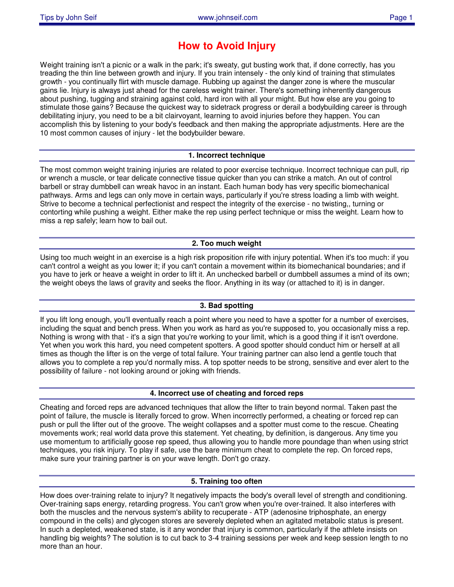# **How to Avoid Injury**

Weight training isn't a picnic or a walk in the park; it's sweaty, gut busting work that, if done correctly, has you treading the thin line between growth and injury. If you train intensely - the only kind of training that stimulates growth - you continually flirt with muscle damage. Rubbing up against the danger zone is where the muscular gains lie. Injury is always just ahead for the careless weight trainer. There's something inherently dangerous about pushing, tugging and straining against cold, hard iron with all your might. But how else are you going to stimulate those gains? Because the quickest way to sidetrack progress or derail a bodybuilding career is through debilitating injury, you need to be a bit clairvoyant, learning to avoid injuries before they happen. You can accomplish this by listening to your body's feedback and then making the appropriate adjustments. Here are the 10 most common causes of injury - let the bodybuilder beware.

# **1. Incorrect technique**

The most common weight training injuries are related to poor exercise technique. Incorrect technique can pull, rip or wrench a muscle, or tear delicate connective tissue quicker than you can strike a match. An out of control barbell or stray dumbbell can wreak havoc in an instant. Each human body has very specific biomechanical pathways. Arms and legs can only move in certain ways, particularly if you're stress loading a limb with weight. Strive to become a technical perfectionist and respect the integrity of the exercise - no twisting,, turning or contorting while pushing a weight. Either make the rep using perfect technique or miss the weight. Learn how to miss a rep safely; learn how to bail out.

# **2. Too much weight**

Using too much weight in an exercise is a high risk proposition rife with injury potential. When it's too much: if you can't control a weight as you lower it; if you can't contain a movement within its biomechanical boundaries; and if you have to jerk or heave a weight in order to lift it. An unchecked barbell or dumbbell assumes a mind of its own; the weight obeys the laws of gravity and seeks the floor. Anything in its way (or attached to it) is in danger.

## **3. Bad spotting**

If you lift long enough, you'll eventually reach a point where you need to have a spotter for a number of exercises, including the squat and bench press. When you work as hard as you're supposed to, you occasionally miss a rep. Nothing is wrong with that - it's a sign that you're working to your limit, which is a good thing if it isn't overdone. Yet when you work this hard, you need competent spotters. A good spotter should conduct him or herself at all times as though the lifter is on the verge of total failure. Your training partner can also lend a gentle touch that allows you to complete a rep you'd normally miss. A top spotter needs to be strong, sensitive and ever alert to the possibility of failure - not looking around or joking with friends.

## **4. Incorrect use of cheating and forced reps**

Cheating and forced reps are advanced techniques that allow the lifter to train beyond normal. Taken past the point of failure, the muscle is literally forced to grow. When incorrectly performed, a cheating or forced rep can push or pull the lifter out of the groove. The weight collapses and a spotter must come to the rescue. Cheating movements work; real world data prove this statement. Yet cheating, by definition, is dangerous. Any time you use momentum to artificially goose rep speed, thus allowing you to handle more poundage than when using strict techniques, you risk injury. To play if safe, use the bare minimum cheat to complete the rep. On forced reps, make sure your training partner is on your wave length. Don't go crazy.

## **5. Training too often**

How does over-training relate to injury? It negatively impacts the body's overall level of strength and conditioning. Over-training saps energy, retarding progress. You can't grow when you're over-trained. It also interferes with both the muscles and the nervous system's ability to recuperate - ATP (adenosine triphosphate, an energy compound in the cells) and glycogen stores are severely depleted when an agitated metabolic status is present. In such a depleted, weakened state, is it any wonder that injury is common, particularly if the athlete insists on handling big weights? The solution is to cut back to 3-4 training sessions per week and keep session length to no more than an hour.